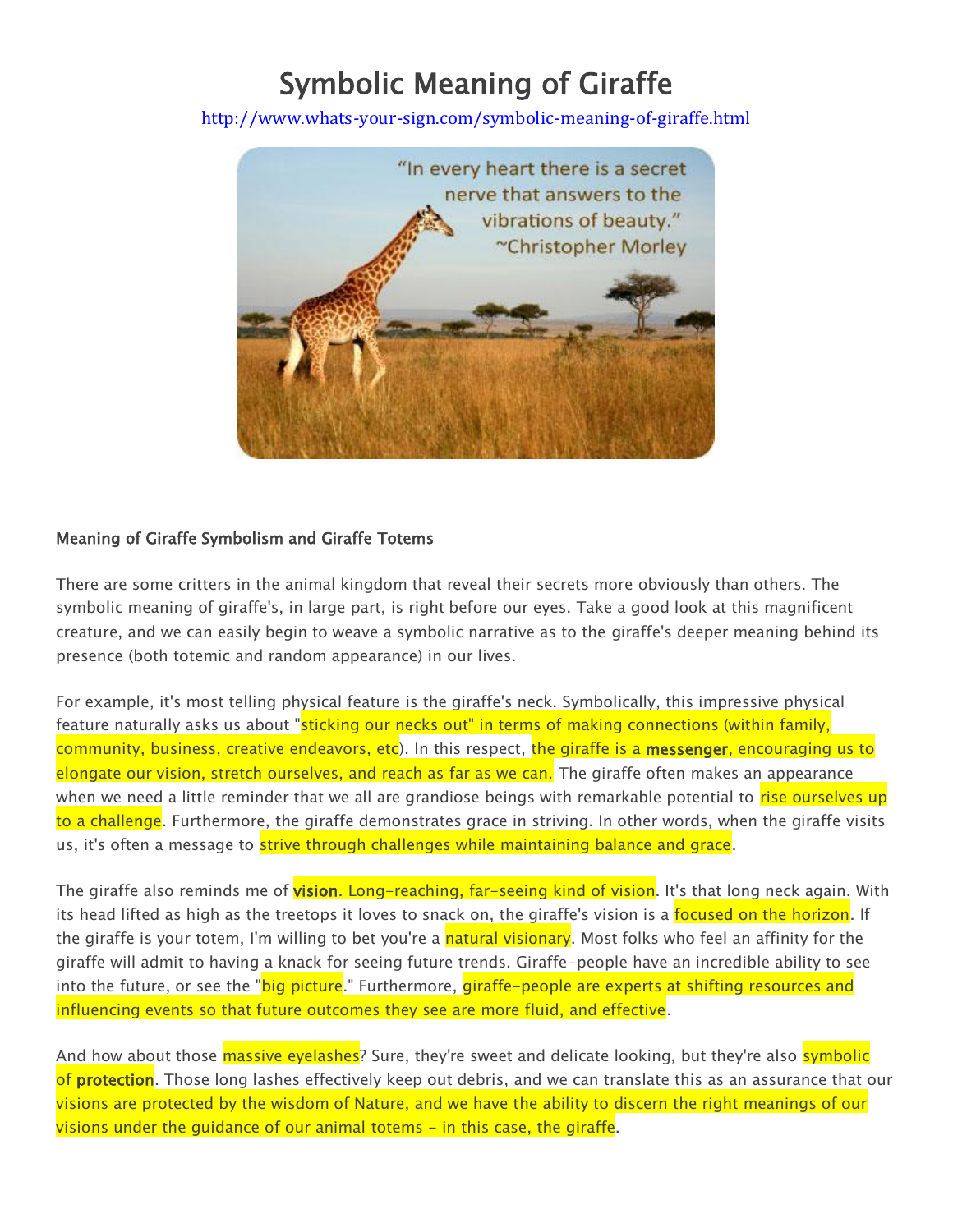## Symbolic Meaning of Giraffe

<http://www.whats-your-sign.com/symbolic-meaning-of-giraffe.html>



## Meaning of Giraffe Symbolism and Giraffe Totems

There are some critters in the animal kingdom that reveal their secrets more obviously than others. The symbolic meaning of giraffe's, in large part, is right before our eyes. Take a good look at this magnificent creature, and we can easily begin to weave a symbolic narrative as to the giraffe's deeper meaning behind its presence (both totemic and random appearance) in our lives.

For example, it's most telling physical feature is the giraffe's neck. Symbolically, this impressive physical feature naturally asks us about "sticking our necks out" in terms of making connections (within family, community, business, creative endeavors, etc). In this respect, the giraffe is a messenger, encouraging us to elongate our vision, stretch ourselves, and reach as far as we can. The giraffe often makes an appearance when we need a little reminder that we all are grandiose beings with remarkable potential to rise ourselves up to a challenge. Furthermore, the giraffe demonstrates grace in striving. In other words, when the giraffe visits us, it's often a message to strive through challenges while maintaining balance and grace.

The giraffe also reminds me of vision. Long-reaching, far-seeing kind of vision. It's that long neck again. With its head lifted as high as the treetops it loves to snack on, the giraffe's vision is a focused on the horizon. If the giraffe is your totem, I'm willing to bet you're a natural visionary. Most folks who feel an affinity for the giraffe will admit to having a knack for seeing future trends. Giraffe-people have an incredible ability to see into the future, or see the "<mark>big picture</mark>." Furthermore, giraffe-people are experts at shifting resources and influencing events so that future outcomes they see are more fluid, and effective.

And how about those *massive eyelashes*? Sure, they're sweet and delicate looking, but they're also *symbolic* of protection. Those long lashes effectively keep out debris, and we can translate this as an assurance that our visions are protected by the wisdom of Nature, and we have the ability to discern the right meanings of our visions under the guidance of our animal totems - in this case, the giraffe.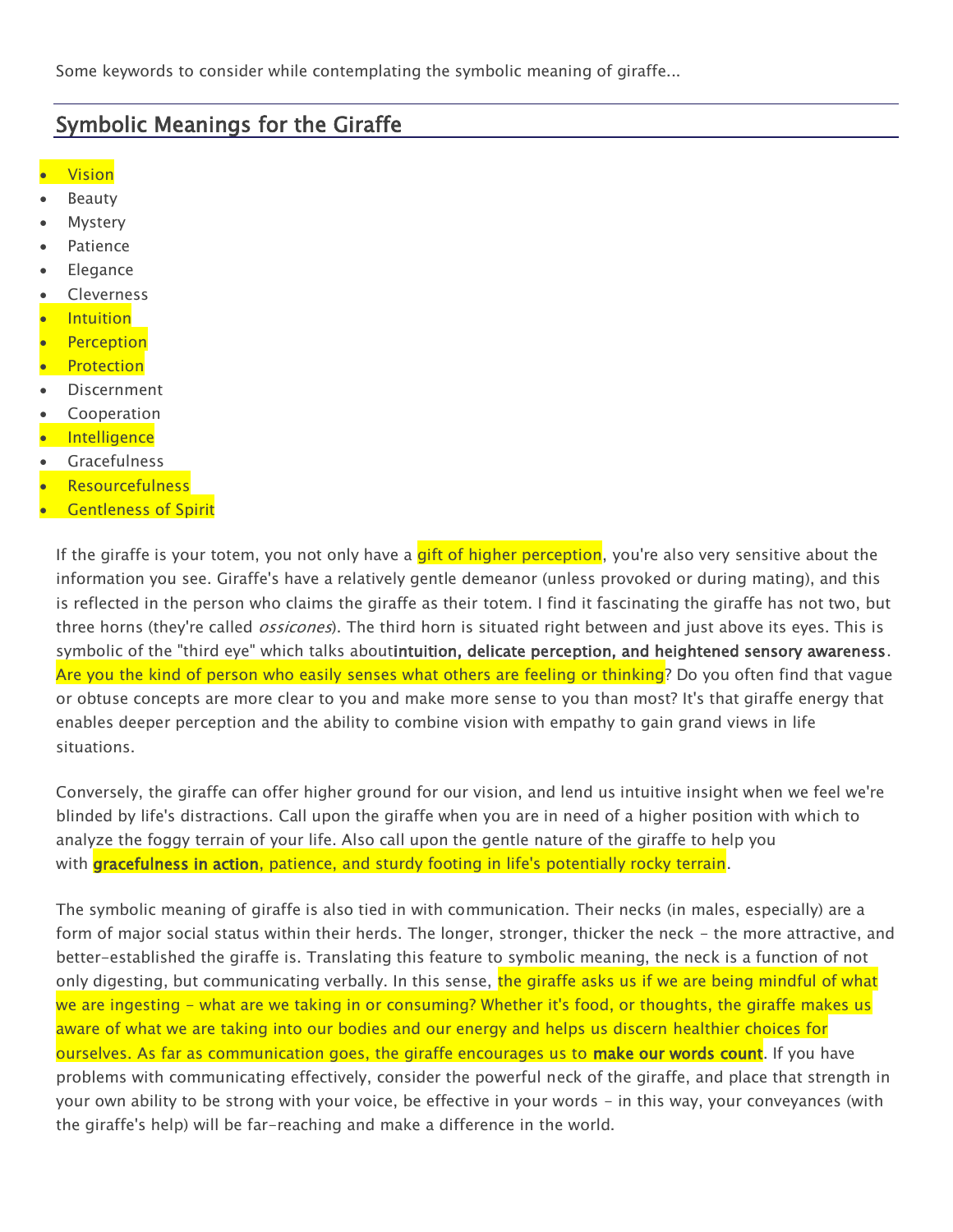Some keywords to consider while contemplating the symbolic meaning of giraffe...

## Symbolic Meanings for the Giraffe

- **Vision**
- Beauty
- Mystery
- Patience
- Elegance
- Cleverness
- Intuition
- **Perception**
- Protection
- Discernment
- Cooperation
- **·** Intelligence
- **•** Gracefulness
- **Resourcefulness**
- **Gentleness of Spirit**

If the giraffe is your totem, you not only have a gift of higher perception, you're also very sensitive about the information you see. Giraffe's have a relatively gentle demeanor (unless provoked or during mating), and this is reflected in the person who claims the giraffe as their totem. I find it fascinating the giraffe has not two, but three horns (they're called *ossicones*). The third horn is situated right between and just above its eyes. This is symbolic of the "third eye" which talks aboutintuition, delicate perception, and heightened sensory awareness. Are you the kind of person who easily senses what others are feeling or thinking? Do you often find that vague or obtuse concepts are more clear to you and make more sense to you than most? It's that giraffe energy that enables deeper perception and the ability to combine vision with empathy to gain grand views in life situations.

Conversely, the giraffe can offer higher ground for our vision, and lend us intuitive insight when we feel we're blinded by life's distractions. Call upon the giraffe when you are in need of a higher position with which to analyze the foggy terrain of your life. Also call upon the gentle nature of the giraffe to help you with **gracefulness in action**, patience, and sturdy footing in life's potentially rocky terrain.

The symbolic meaning of giraffe is also tied in with communication. Their necks (in males, especially) are a form of major social status within their herds. The longer, stronger, thicker the neck - the more attractive, and better-established the giraffe is. Translating this feature to symbolic meaning, the neck is a function of not only digesting, but communicating verbally. In this sense, the giraffe asks us if we are being mindful of what we are ingesting - what are we taking in or consuming? Whether it's food, or thoughts, the giraffe makes us aware of what we are taking into our bodies and our energy and helps us discern healthier choices for ourselves. As far as communication goes, the giraffe encourages us to make our words count. If you have problems with communicating effectively, consider the powerful neck of the giraffe, and place that strength in your own ability to be strong with your voice, be effective in your words - in this way, your conveyances (with the giraffe's help) will be far-reaching and make a difference in the world.